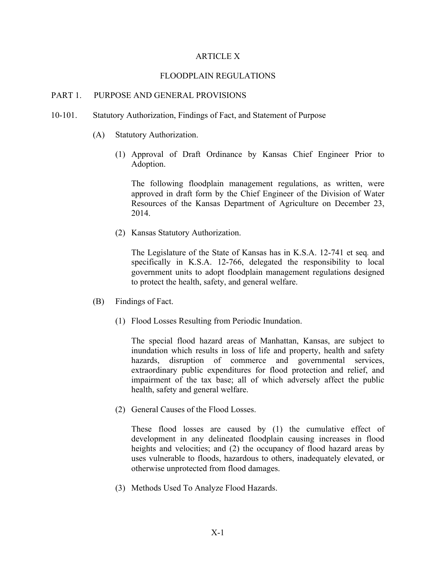## ARTICLE X

#### FLOODPLAIN REGULATIONS

## PART 1. PURPOSE AND GENERAL PROVISIONS

- 10-101. Statutory Authorization, Findings of Fact, and Statement of Purpose
	- (A) Statutory Authorization.
		- (1) Approval of Draft Ordinance by Kansas Chief Engineer Prior to Adoption.

The following floodplain management regulations, as written, were approved in draft form by the Chief Engineer of the Division of Water Resources of the Kansas Department of Agriculture on December 23, 2014.

(2) Kansas Statutory Authorization.

The Legislature of the State of Kansas has in K.S.A. 12-741 et seq*.* and specifically in K.S.A. 12-766, delegated the responsibility to local government units to adopt floodplain management regulations designed to protect the health, safety, and general welfare.

- (B) Findings of Fact.
	- (1) Flood Losses Resulting from Periodic Inundation.

The special flood hazard areas of Manhattan, Kansas, are subject to inundation which results in loss of life and property, health and safety hazards, disruption of commerce and governmental services, extraordinary public expenditures for flood protection and relief, and impairment of the tax base; all of which adversely affect the public health, safety and general welfare.

(2) General Causes of the Flood Losses.

These flood losses are caused by (1) the cumulative effect of development in any delineated floodplain causing increases in flood heights and velocities; and (2) the occupancy of flood hazard areas by uses vulnerable to floods, hazardous to others, inadequately elevated, or otherwise unprotected from flood damages.

(3) Methods Used To Analyze Flood Hazards.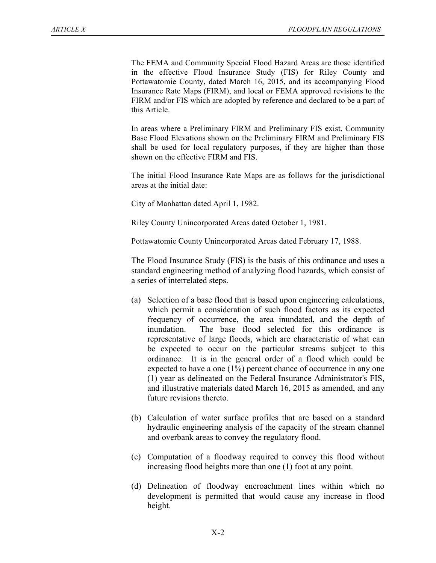The FEMA and Community Special Flood Hazard Areas are those identified in the effective Flood Insurance Study (FIS) for Riley County and Pottawatomie County, dated March 16, 2015, and its accompanying Flood Insurance Rate Maps (FIRM), and local or FEMA approved revisions to the FIRM and/or FIS which are adopted by reference and declared to be a part of this Article.

In areas where a Preliminary FIRM and Preliminary FIS exist, Community Base Flood Elevations shown on the Preliminary FIRM and Preliminary FIS shall be used for local regulatory purposes, if they are higher than those shown on the effective FIRM and FIS.

The initial Flood Insurance Rate Maps are as follows for the jurisdictional areas at the initial date:

City of Manhattan dated April 1, 1982.

Riley County Unincorporated Areas dated October 1, 1981.

Pottawatomie County Unincorporated Areas dated February 17, 1988.

The Flood Insurance Study (FIS) is the basis of this ordinance and uses a standard engineering method of analyzing flood hazards, which consist of a series of interrelated steps.

- (a) Selection of a base flood that is based upon engineering calculations, which permit a consideration of such flood factors as its expected frequency of occurrence, the area inundated, and the depth of inundation. The base flood selected for this ordinance is representative of large floods, which are characteristic of what can be expected to occur on the particular streams subject to this ordinance. It is in the general order of a flood which could be expected to have a one (1%) percent chance of occurrence in any one (1) year as delineated on the Federal Insurance Administrator's FIS, and illustrative materials dated March 16, 2015 as amended, and any future revisions thereto.
- (b) Calculation of water surface profiles that are based on a standard hydraulic engineering analysis of the capacity of the stream channel and overbank areas to convey the regulatory flood.
- (c) Computation of a floodway required to convey this flood without increasing flood heights more than one (1) foot at any point.
- (d) Delineation of floodway encroachment lines within which no development is permitted that would cause any increase in flood height.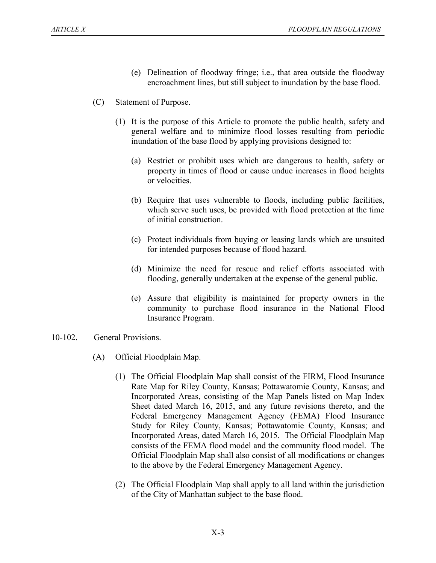- (e) Delineation of floodway fringe; i.e., that area outside the floodway encroachment lines, but still subject to inundation by the base flood.
- (C) Statement of Purpose.
	- (1) It is the purpose of this Article to promote the public health, safety and general welfare and to minimize flood losses resulting from periodic inundation of the base flood by applying provisions designed to:
		- (a) Restrict or prohibit uses which are dangerous to health, safety or property in times of flood or cause undue increases in flood heights or velocities.
		- (b) Require that uses vulnerable to floods, including public facilities, which serve such uses, be provided with flood protection at the time of initial construction.
		- (c) Protect individuals from buying or leasing lands which are unsuited for intended purposes because of flood hazard.
		- (d) Minimize the need for rescue and relief efforts associated with flooding, generally undertaken at the expense of the general public.
		- (e) Assure that eligibility is maintained for property owners in the community to purchase flood insurance in the National Flood Insurance Program.

## 10-102. General Provisions.

- (A) Official Floodplain Map.
	- (1) The Official Floodplain Map shall consist of the FIRM, Flood Insurance Rate Map for Riley County, Kansas; Pottawatomie County, Kansas; and Incorporated Areas, consisting of the Map Panels listed on Map Index Sheet dated March 16, 2015, and any future revisions thereto, and the Federal Emergency Management Agency (FEMA) Flood Insurance Study for Riley County, Kansas; Pottawatomie County, Kansas; and Incorporated Areas, dated March 16, 2015. The Official Floodplain Map consists of the FEMA flood model and the community flood model. The Official Floodplain Map shall also consist of all modifications or changes to the above by the Federal Emergency Management Agency.
	- (2) The Official Floodplain Map shall apply to all land within the jurisdiction of the City of Manhattan subject to the base flood.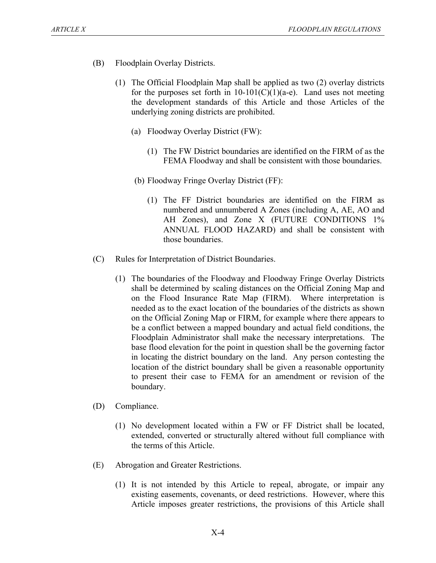- (B) Floodplain Overlay Districts.
	- (1) The Official Floodplain Map shall be applied as two (2) overlay districts for the purposes set forth in  $10-101(C)(1)(a-e)$ . Land uses not meeting the development standards of this Article and those Articles of the underlying zoning districts are prohibited.
		- (a) Floodway Overlay District (FW):
			- (1) The FW District boundaries are identified on the FIRM of as the FEMA Floodway and shall be consistent with those boundaries.
		- (b) Floodway Fringe Overlay District (FF):
			- (1) The FF District boundaries are identified on the FIRM as numbered and unnumbered A Zones (including A, AE, AO and AH Zones), and Zone X (FUTURE CONDITIONS  $1\%$ ANNUAL FLOOD HAZARD) and shall be consistent with those boundaries.
- (C) Rules for Interpretation of District Boundaries.
	- (1) The boundaries of the Floodway and Floodway Fringe Overlay Districts shall be determined by scaling distances on the Official Zoning Map and on the Flood Insurance Rate Map (FIRM). Where interpretation is needed as to the exact location of the boundaries of the districts as shown on the Official Zoning Map or FIRM, for example where there appears to be a conflict between a mapped boundary and actual field conditions, the Floodplain Administrator shall make the necessary interpretations. The base flood elevation for the point in question shall be the governing factor in locating the district boundary on the land. Any person contesting the location of the district boundary shall be given a reasonable opportunity to present their case to FEMA for an amendment or revision of the boundary.
- (D) Compliance.
	- (1) No development located within a FW or FF District shall be located, extended, converted or structurally altered without full compliance with the terms of this Article.
- (E) Abrogation and Greater Restrictions.
	- (1) It is not intended by this Article to repeal, abrogate, or impair any existing easements, covenants, or deed restrictions. However, where this Article imposes greater restrictions, the provisions of this Article shall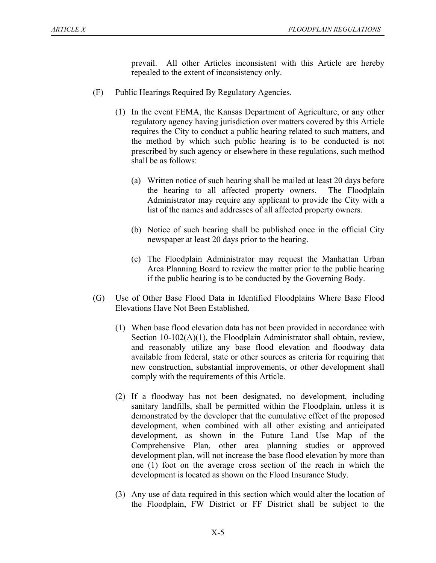prevail. All other Articles inconsistent with this Article are hereby repealed to the extent of inconsistency only.

- (F) Public Hearings Required By Regulatory Agencies.
	- (1) In the event FEMA, the Kansas Department of Agriculture, or any other regulatory agency having jurisdiction over matters covered by this Article requires the City to conduct a public hearing related to such matters, and the method by which such public hearing is to be conducted is not prescribed by such agency or elsewhere in these regulations, such method shall be as follows:
		- (a) Written notice of such hearing shall be mailed at least 20 days before the hearing to all affected property owners. The Floodplain Administrator may require any applicant to provide the City with a list of the names and addresses of all affected property owners.
		- (b) Notice of such hearing shall be published once in the official City newspaper at least 20 days prior to the hearing.
		- (c) The Floodplain Administrator may request the Manhattan Urban Area Planning Board to review the matter prior to the public hearing if the public hearing is to be conducted by the Governing Body.
- (G) Use of Other Base Flood Data in Identified Floodplains Where Base Flood Elevations Have Not Been Established.
	- (1) When base flood elevation data has not been provided in accordance with Section 10-102(A)(1), the Floodplain Administrator shall obtain, review, and reasonably utilize any base flood elevation and floodway data available from federal, state or other sources as criteria for requiring that new construction, substantial improvements, or other development shall comply with the requirements of this Article.
	- (2) If a floodway has not been designated, no development, including sanitary landfills, shall be permitted within the Floodplain, unless it is demonstrated by the developer that the cumulative effect of the proposed development, when combined with all other existing and anticipated development, as shown in the Future Land Use Map of the Comprehensive Plan, other area planning studies or approved development plan, will not increase the base flood elevation by more than one (1) foot on the average cross section of the reach in which the development is located as shown on the Flood Insurance Study.
	- (3) Any use of data required in this section which would alter the location of the Floodplain, FW District or FF District shall be subject to the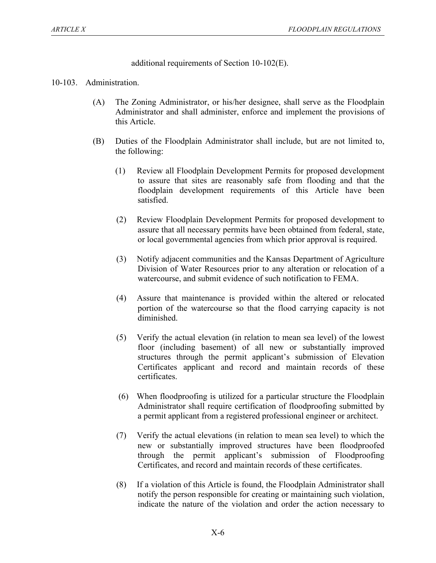additional requirements of Section 10-102(E).

## 10-103. Administration.

- (A) The Zoning Administrator, or his/her designee, shall serve as the Floodplain Administrator and shall administer, enforce and implement the provisions of this Article.
- (B) Duties of the Floodplain Administrator shall include, but are not limited to, the following:
	- (1) Review all Floodplain Development Permits for proposed development to assure that sites are reasonably safe from flooding and that the floodplain development requirements of this Article have been satisfied.
	- (2) Review Floodplain Development Permits for proposed development to assure that all necessary permits have been obtained from federal, state, or local governmental agencies from which prior approval is required.
	- (3) Notify adjacent communities and the Kansas Department of Agriculture Division of Water Resources prior to any alteration or relocation of a watercourse, and submit evidence of such notification to FEMA.
	- (4) Assure that maintenance is provided within the altered or relocated portion of the watercourse so that the flood carrying capacity is not diminished.
	- (5) Verify the actual elevation (in relation to mean sea level) of the lowest floor (including basement) of all new or substantially improved structures through the permit applicant's submission of Elevation Certificates applicant and record and maintain records of these certificates.
	- (6) When floodproofing is utilized for a particular structure the Floodplain Administrator shall require certification of floodproofing submitted by a permit applicant from a registered professional engineer or architect.
	- (7) Verify the actual elevations (in relation to mean sea level) to which the new or substantially improved structures have been floodproofed through the permit applicant's submission of Floodproofing Certificates, and record and maintain records of these certificates.
	- (8) If a violation of this Article is found, the Floodplain Administrator shall notify the person responsible for creating or maintaining such violation, indicate the nature of the violation and order the action necessary to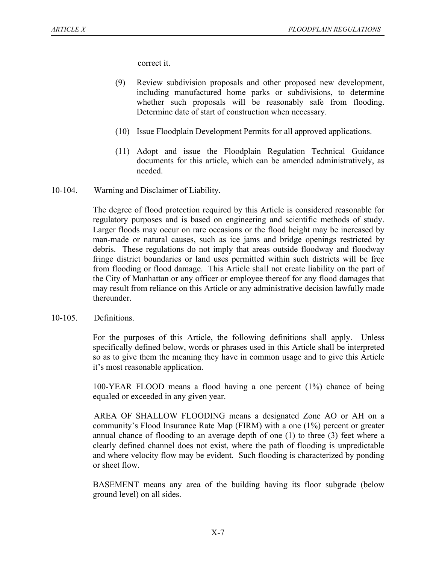correct it.

- (9) Review subdivision proposals and other proposed new development, including manufactured home parks or subdivisions, to determine whether such proposals will be reasonably safe from flooding. Determine date of start of construction when necessary.
- (10) Issue Floodplain Development Permits for all approved applications.
- (11) Adopt and issue the Floodplain Regulation Technical Guidance documents for this article, which can be amended administratively, as needed.
- 10-104. Warning and Disclaimer of Liability.

The degree of flood protection required by this Article is considered reasonable for regulatory purposes and is based on engineering and scientific methods of study. Larger floods may occur on rare occasions or the flood height may be increased by man-made or natural causes, such as ice jams and bridge openings restricted by debris. These regulations do not imply that areas outside floodway and floodway fringe district boundaries or land uses permitted within such districts will be free from flooding or flood damage. This Article shall not create liability on the part of the City of Manhattan or any officer or employee thereof for any flood damages that may result from reliance on this Article or any administrative decision lawfully made thereunder.

10-105. Definitions.

For the purposes of this Article, the following definitions shall apply. Unless specifically defined below, words or phrases used in this Article shall be interpreted so as to give them the meaning they have in common usage and to give this Article it's most reasonable application.

100-YEAR FLOOD means a flood having a one percent (1%) chance of being equaled or exceeded in any given year.

AREA OF SHALLOW FLOODING means a designated Zone AO or AH on a community's Flood Insurance Rate Map (FIRM) with a one (1%) percent or greater annual chance of flooding to an average depth of one (1) to three (3) feet where a clearly defined channel does not exist, where the path of flooding is unpredictable and where velocity flow may be evident. Such flooding is characterized by ponding or sheet flow.

BASEMENT means any area of the building having its floor subgrade (below ground level) on all sides.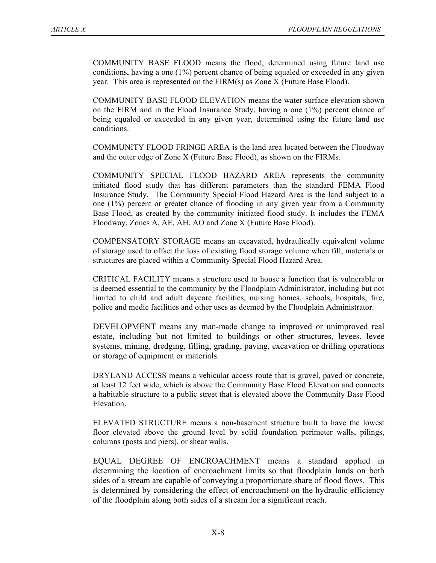COMMUNITY BASE FLOOD means the flood, determined using future land use conditions, having a one (1%) percent chance of being equaled or exceeded in any given year. This area is represented on the FIRM(s) as Zone X (Future Base Flood).

COMMUNITY BASE FLOOD ELEVATION means the water surface elevation shown on the FIRM and in the Flood Insurance Study, having a one (1%) percent chance of being equaled or exceeded in any given year, determined using the future land use conditions.

COMMUNITY FLOOD FRINGE AREA is the land area located between the Floodway and the outer edge of Zone X (Future Base Flood), as shown on the FIRMs.

COMMUNITY SPECIAL FLOOD HAZARD AREA represents the community initiated flood study that has different parameters than the standard FEMA Flood Insurance Study. The Community Special Flood Hazard Area is the land subject to a one (1%) percent or greater chance of flooding in any given year from a Community Base Flood, as created by the community initiated flood study. It includes the FEMA Floodway, Zones A, AE, AH, AO and Zone X (Future Base Flood).

COMPENSATORY STORAGE means an excavated, hydraulically equivalent volume of storage used to offset the loss of existing flood storage volume when fill, materials or structures are placed within a Community Special Flood Hazard Area.

CRITICAL FACILITY means a structure used to house a function that is vulnerable or is deemed essential to the community by the Floodplain Administrator, including but not limited to child and adult daycare facilities, nursing homes, schools, hospitals, fire, police and medic facilities and other uses as deemed by the Floodplain Administrator.

DEVELOPMENT means any man-made change to improved or unimproved real estate, including but not limited to buildings or other structures, levees, levee systems, mining, dredging, filling, grading, paving, excavation or drilling operations or storage of equipment or materials.

DRYLAND ACCESS means a vehicular access route that is gravel, paved or concrete, at least 12 feet wide, which is above the Community Base Flood Elevation and connects a habitable structure to a public street that is elevated above the Community Base Flood Elevation.

ELEVATED STRUCTURE means a non-basement structure built to have the lowest floor elevated above the ground level by solid foundation perimeter walls, pilings, columns (posts and piers), or shear walls.

EQUAL DEGREE OF ENCROACHMENT means a standard applied in determining the location of encroachment limits so that floodplain lands on both sides of a stream are capable of conveying a proportionate share of flood flows. This is determined by considering the effect of encroachment on the hydraulic efficiency of the floodplain along both sides of a stream for a significant reach.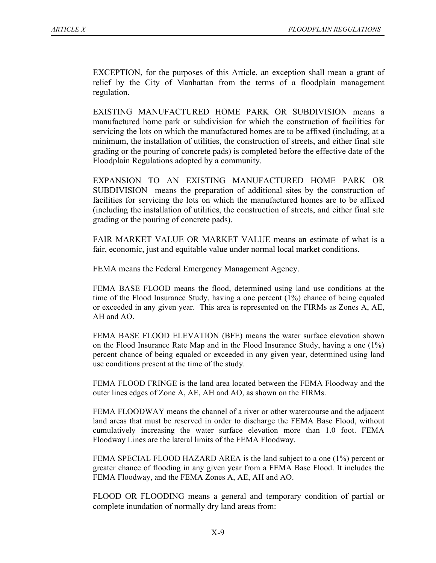EXCEPTION, for the purposes of this Article, an exception shall mean a grant of relief by the City of Manhattan from the terms of a floodplain management regulation.

EXISTING MANUFACTURED HOME PARK OR SUBDIVISION means a manufactured home park or subdivision for which the construction of facilities for servicing the lots on which the manufactured homes are to be affixed (including, at a minimum, the installation of utilities, the construction of streets, and either final site grading or the pouring of concrete pads) is completed before the effective date of the Floodplain Regulations adopted by a community.

EXPANSION TO AN EXISTING MANUFACTURED HOME PARK OR SUBDIVISION means the preparation of additional sites by the construction of facilities for servicing the lots on which the manufactured homes are to be affixed (including the installation of utilities, the construction of streets, and either final site grading or the pouring of concrete pads).

FAIR MARKET VALUE OR MARKET VALUE means an estimate of what is a fair, economic, just and equitable value under normal local market conditions.

FEMA means the Federal Emergency Management Agency.

FEMA BASE FLOOD means the flood, determined using land use conditions at the time of the Flood Insurance Study, having a one percent (1%) chance of being equaled or exceeded in any given year. This area is represented on the FIRMs as Zones A, AE, AH and AO.

FEMA BASE FLOOD ELEVATION (BFE) means the water surface elevation shown on the Flood Insurance Rate Map and in the Flood Insurance Study, having a one (1%) percent chance of being equaled or exceeded in any given year, determined using land use conditions present at the time of the study.

FEMA FLOOD FRINGE is the land area located between the FEMA Floodway and the outer lines edges of Zone A, AE, AH and AO, as shown on the FIRMs.

FEMA FLOODWAY means the channel of a river or other watercourse and the adjacent land areas that must be reserved in order to discharge the FEMA Base Flood, without cumulatively increasing the water surface elevation more than 1.0 foot. FEMA Floodway Lines are the lateral limits of the FEMA Floodway.

FEMA SPECIAL FLOOD HAZARD AREA is the land subject to a one (1%) percent or greater chance of flooding in any given year from a FEMA Base Flood. It includes the FEMA Floodway, and the FEMA Zones A, AE, AH and AO.

FLOOD OR FLOODING means a general and temporary condition of partial or complete inundation of normally dry land areas from: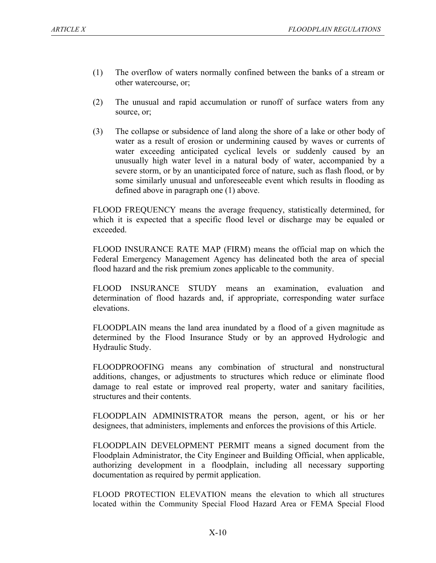- (1) The overflow of waters normally confined between the banks of a stream or other watercourse, or;
- (2) The unusual and rapid accumulation or runoff of surface waters from any source, or;
- (3) The collapse or subsidence of land along the shore of a lake or other body of water as a result of erosion or undermining caused by waves or currents of water exceeding anticipated cyclical levels or suddenly caused by an unusually high water level in a natural body of water, accompanied by a severe storm, or by an unanticipated force of nature, such as flash flood, or by some similarly unusual and unforeseeable event which results in flooding as defined above in paragraph one (1) above.

FLOOD FREQUENCY means the average frequency, statistically determined, for which it is expected that a specific flood level or discharge may be equaled or exceeded.

FLOOD INSURANCE RATE MAP (FIRM) means the official map on which the Federal Emergency Management Agency has delineated both the area of special flood hazard and the risk premium zones applicable to the community.

FLOOD INSURANCE STUDY means an examination, evaluation and determination of flood hazards and, if appropriate, corresponding water surface elevations.

FLOODPLAIN means the land area inundated by a flood of a given magnitude as determined by the Flood Insurance Study or by an approved Hydrologic and Hydraulic Study.

FLOODPROOFING means any combination of structural and nonstructural additions, changes, or adjustments to structures which reduce or eliminate flood damage to real estate or improved real property, water and sanitary facilities, structures and their contents.

FLOODPLAIN ADMINISTRATOR means the person, agent, or his or her designees, that administers, implements and enforces the provisions of this Article.

FLOODPLAIN DEVELOPMENT PERMIT means a signed document from the Floodplain Administrator, the City Engineer and Building Official, when applicable, authorizing development in a floodplain, including all necessary supporting documentation as required by permit application.

FLOOD PROTECTION ELEVATION means the elevation to which all structures located within the Community Special Flood Hazard Area or FEMA Special Flood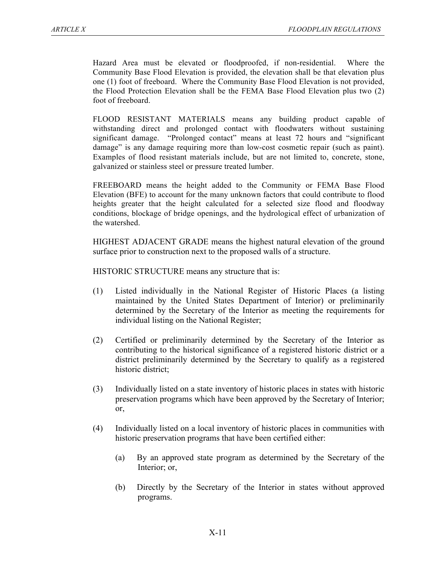Hazard Area must be elevated or floodproofed, if non-residential. Where the Community Base Flood Elevation is provided, the elevation shall be that elevation plus one (1) foot of freeboard. Where the Community Base Flood Elevation is not provided, the Flood Protection Elevation shall be the FEMA Base Flood Elevation plus two (2) foot of freeboard.

FLOOD RESISTANT MATERIALS means any building product capable of withstanding direct and prolonged contact with floodwaters without sustaining significant damage. "Prolonged contact" means at least 72 hours and "significant damage" is any damage requiring more than low-cost cosmetic repair (such as paint). Examples of flood resistant materials include, but are not limited to, concrete, stone, galvanized or stainless steel or pressure treated lumber.

FREEBOARD means the height added to the Community or FEMA Base Flood Elevation (BFE) to account for the many unknown factors that could contribute to flood heights greater that the height calculated for a selected size flood and floodway conditions, blockage of bridge openings, and the hydrological effect of urbanization of the watershed.

HIGHEST ADJACENT GRADE means the highest natural elevation of the ground surface prior to construction next to the proposed walls of a structure.

HISTORIC STRUCTURE means any structure that is:

- (1) Listed individually in the National Register of Historic Places (a listing maintained by the United States Department of Interior) or preliminarily determined by the Secretary of the Interior as meeting the requirements for individual listing on the National Register;
- (2) Certified or preliminarily determined by the Secretary of the Interior as contributing to the historical significance of a registered historic district or a district preliminarily determined by the Secretary to qualify as a registered historic district;
- (3) Individually listed on a state inventory of historic places in states with historic preservation programs which have been approved by the Secretary of Interior; or,
- (4) Individually listed on a local inventory of historic places in communities with historic preservation programs that have been certified either:
	- (a) By an approved state program as determined by the Secretary of the Interior; or,
	- (b) Directly by the Secretary of the Interior in states without approved programs.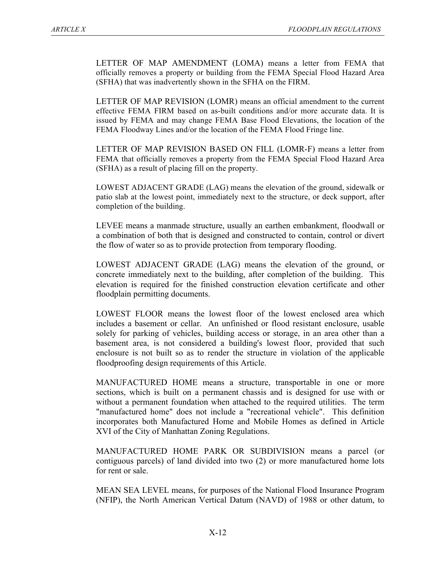LETTER OF MAP AMENDMENT (LOMA) means a letter from FEMA that officially removes a property or building from the FEMA Special Flood Hazard Area (SFHA) that was inadvertently shown in the SFHA on the FIRM.

LETTER OF MAP REVISION (LOMR) means an official amendment to the current effective FEMA FIRM based on as-built conditions and/or more accurate data. It is issued by FEMA and may change FEMA Base Flood Elevations, the location of the FEMA Floodway Lines and/or the location of the FEMA Flood Fringe line.

LETTER OF MAP REVISION BASED ON FILL (LOMR-F) means a letter from FEMA that officially removes a property from the FEMA Special Flood Hazard Area (SFHA) as a result of placing fill on the property.

LOWEST ADJACENT GRADE (LAG) means the elevation of the ground, sidewalk or patio slab at the lowest point, immediately next to the structure, or deck support, after completion of the building.

LEVEE means a manmade structure, usually an earthen embankment, floodwall or a combination of both that is designed and constructed to contain, control or divert the flow of water so as to provide protection from temporary flooding.

LOWEST ADJACENT GRADE (LAG) means the elevation of the ground, or concrete immediately next to the building, after completion of the building. This elevation is required for the finished construction elevation certificate and other floodplain permitting documents.

LOWEST FLOOR means the lowest floor of the lowest enclosed area which includes a basement or cellar. An unfinished or flood resistant enclosure, usable solely for parking of vehicles, building access or storage, in an area other than a basement area, is not considered a building's lowest floor, provided that such enclosure is not built so as to render the structure in violation of the applicable floodproofing design requirements of this Article.

MANUFACTURED HOME means a structure, transportable in one or more sections, which is built on a permanent chassis and is designed for use with or without a permanent foundation when attached to the required utilities. The term "manufactured home" does not include a "recreational vehicle". This definition incorporates both Manufactured Home and Mobile Homes as defined in Article XVI of the City of Manhattan Zoning Regulations.

MANUFACTURED HOME PARK OR SUBDIVISION means a parcel (or contiguous parcels) of land divided into two (2) or more manufactured home lots for rent or sale.

MEAN SEA LEVEL means, for purposes of the National Flood Insurance Program (NFIP), the North American Vertical Datum (NAVD) of 1988 or other datum, to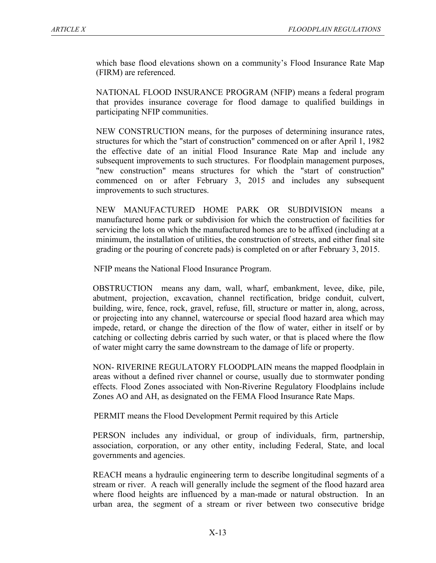which base flood elevations shown on a community's Flood Insurance Rate Map (FIRM) are referenced.

NATIONAL FLOOD INSURANCE PROGRAM (NFIP) means a federal program that provides insurance coverage for flood damage to qualified buildings in participating NFIP communities.

NEW CONSTRUCTION means, for the purposes of determining insurance rates, structures for which the "start of construction" commenced on or after April 1, 1982 the effective date of an initial Flood Insurance Rate Map and include any subsequent improvements to such structures. For floodplain management purposes, "new construction" means structures for which the "start of construction" commenced on or after February 3, 2015 and includes any subsequent improvements to such structures.

NEW MANUFACTURED HOME PARK OR SUBDIVISION means a manufactured home park or subdivision for which the construction of facilities for servicing the lots on which the manufactured homes are to be affixed (including at a minimum, the installation of utilities, the construction of streets, and either final site grading or the pouring of concrete pads) is completed on or after February 3, 2015.

NFIP means the National Flood Insurance Program.

OBSTRUCTION means any dam, wall, wharf, embankment, levee, dike, pile, abutment, projection, excavation, channel rectification, bridge conduit, culvert, building, wire, fence, rock, gravel, refuse, fill, structure or matter in, along, across, or projecting into any channel, watercourse or special flood hazard area which may impede, retard, or change the direction of the flow of water, either in itself or by catching or collecting debris carried by such water, or that is placed where the flow of water might carry the same downstream to the damage of life or property.

NON- RIVERINE REGULATORY FLOODPLAIN means the mapped floodplain in areas without a defined river channel or course, usually due to stormwater ponding effects. Flood Zones associated with Non-Riverine Regulatory Floodplains include Zones AO and AH, as designated on the FEMA Flood Insurance Rate Maps.

PERMIT means the Flood Development Permit required by this Article

PERSON includes any individual, or group of individuals, firm, partnership, association, corporation, or any other entity, including Federal, State, and local governments and agencies.

REACH means a hydraulic engineering term to describe longitudinal segments of a stream or river. A reach will generally include the segment of the flood hazard area where flood heights are influenced by a man-made or natural obstruction. In an urban area, the segment of a stream or river between two consecutive bridge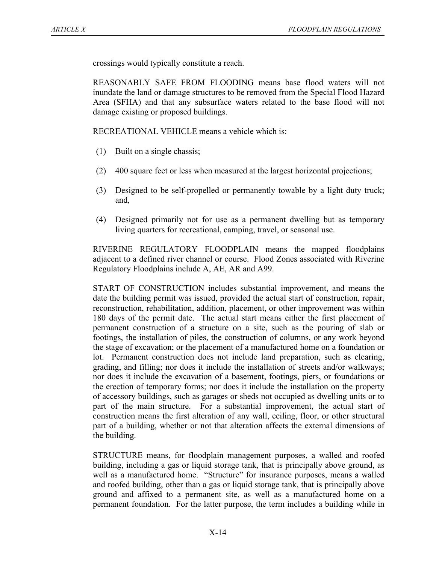crossings would typically constitute a reach.

REASONABLY SAFE FROM FLOODING means base flood waters will not inundate the land or damage structures to be removed from the Special Flood Hazard Area (SFHA) and that any subsurface waters related to the base flood will not damage existing or proposed buildings.

RECREATIONAL VEHICLE means a vehicle which is:

- (1) Built on a single chassis;
- (2) 400 square feet or less when measured at the largest horizontal projections;
- (3) Designed to be self-propelled or permanently towable by a light duty truck; and,
- (4) Designed primarily not for use as a permanent dwelling but as temporary living quarters for recreational, camping, travel, or seasonal use.

RIVERINE REGULATORY FLOODPLAIN means the mapped floodplains adjacent to a defined river channel or course. Flood Zones associated with Riverine Regulatory Floodplains include A, AE, AR and A99.

START OF CONSTRUCTION includes substantial improvement, and means the date the building permit was issued, provided the actual start of construction, repair, reconstruction, rehabilitation, addition, placement, or other improvement was within 180 days of the permit date. The actual start means either the first placement of permanent construction of a structure on a site, such as the pouring of slab or footings, the installation of piles, the construction of columns, or any work beyond the stage of excavation; or the placement of a manufactured home on a foundation or lot. Permanent construction does not include land preparation, such as clearing, grading, and filling; nor does it include the installation of streets and/or walkways; nor does it include the excavation of a basement, footings, piers, or foundations or the erection of temporary forms; nor does it include the installation on the property of accessory buildings, such as garages or sheds not occupied as dwelling units or to part of the main structure. For a substantial improvement, the actual start of construction means the first alteration of any wall, ceiling, floor, or other structural part of a building, whether or not that alteration affects the external dimensions of the building.

STRUCTURE means, for floodplain management purposes, a walled and roofed building, including a gas or liquid storage tank, that is principally above ground, as well as a manufactured home. "Structure" for insurance purposes, means a walled and roofed building, other than a gas or liquid storage tank, that is principally above ground and affixed to a permanent site, as well as a manufactured home on a permanent foundation. For the latter purpose, the term includes a building while in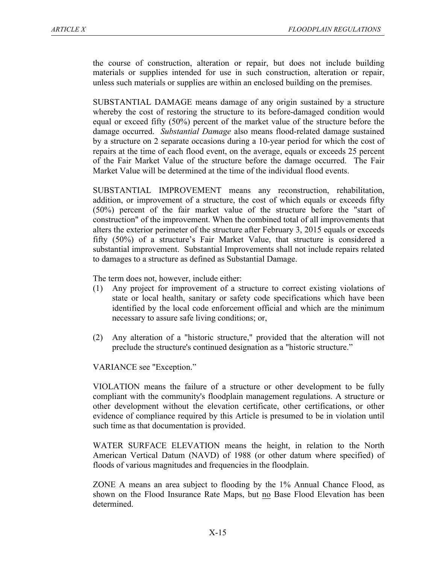the course of construction, alteration or repair, but does not include building materials or supplies intended for use in such construction, alteration or repair, unless such materials or supplies are within an enclosed building on the premises.

SUBSTANTIAL DAMAGE means damage of any origin sustained by a structure whereby the cost of restoring the structure to its before-damaged condition would equal or exceed fifty (50%) percent of the market value of the structure before the damage occurred. *Substantial Damage* also means flood-related damage sustained by a structure on 2 separate occasions during a 10-year period for which the cost of repairs at the time of each flood event, on the average, equals or exceeds 25 percent of the Fair Market Value of the structure before the damage occurred. The Fair Market Value will be determined at the time of the individual flood events.

SUBSTANTIAL IMPROVEMENT means any reconstruction, rehabilitation, addition, or improvement of a structure, the cost of which equals or exceeds fifty (50%) percent of the fair market value of the structure before the "start of construction" of the improvement. When the combined total of all improvements that alters the exterior perimeter of the structure after February 3, 2015 equals or exceeds fifty (50%) of a structure's Fair Market Value, that structure is considered a substantial improvement. Substantial Improvements shall not include repairs related to damages to a structure as defined as Substantial Damage.

The term does not, however, include either:

- (1) Any project for improvement of a structure to correct existing violations of state or local health, sanitary or safety code specifications which have been identified by the local code enforcement official and which are the minimum necessary to assure safe living conditions; or,
- (2) Any alteration of a "historic structure," provided that the alteration will not preclude the structure's continued designation as a "historic structure."

VARIANCE see "Exception."

VIOLATION means the failure of a structure or other development to be fully compliant with the community's floodplain management regulations. A structure or other development without the elevation certificate, other certifications, or other evidence of compliance required by this Article is presumed to be in violation until such time as that documentation is provided.

WATER SURFACE ELEVATION means the height, in relation to the North American Vertical Datum (NAVD) of 1988 (or other datum where specified) of floods of various magnitudes and frequencies in the floodplain.

ZONE A means an area subject to flooding by the 1% Annual Chance Flood, as shown on the Flood Insurance Rate Maps, but no Base Flood Elevation has been determined.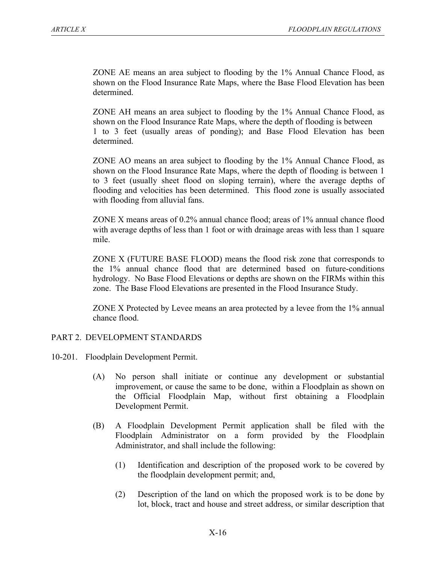ZONE AE means an area subject to flooding by the 1% Annual Chance Flood, as shown on the Flood Insurance Rate Maps, where the Base Flood Elevation has been determined.

ZONE AH means an area subject to flooding by the 1% Annual Chance Flood, as shown on the Flood Insurance Rate Maps, where the depth of flooding is between 1 to 3 feet (usually areas of ponding); and Base Flood Elevation has been determined.

ZONE AO means an area subject to flooding by the 1% Annual Chance Flood, as shown on the Flood Insurance Rate Maps, where the depth of flooding is between 1 to 3 feet (usually sheet flood on sloping terrain), where the average depths of flooding and velocities has been determined. This flood zone is usually associated with flooding from alluvial fans.

ZONE X means areas of 0.2% annual chance flood; areas of 1% annual chance flood with average depths of less than 1 foot or with drainage areas with less than 1 square mile.

ZONE X (FUTURE BASE FLOOD) means the flood risk zone that corresponds to the 1% annual chance flood that are determined based on future-conditions hydrology. No Base Flood Elevations or depths are shown on the FIRMs within this zone. The Base Flood Elevations are presented in the Flood Insurance Study.

ZONE X Protected by Levee means an area protected by a levee from the 1% annual chance flood.

# PART 2. DEVELOPMENT STANDARDS

- 10-201. Floodplain Development Permit.
	- (A) No person shall initiate or continue any development or substantial improvement, or cause the same to be done, within a Floodplain as shown on the Official Floodplain Map, without first obtaining a Floodplain Development Permit.
	- (B) A Floodplain Development Permit application shall be filed with the Floodplain Administrator on a form provided by the Floodplain Administrator, and shall include the following:
		- (1) Identification and description of the proposed work to be covered by the floodplain development permit; and,
		- (2) Description of the land on which the proposed work is to be done by lot, block, tract and house and street address, or similar description that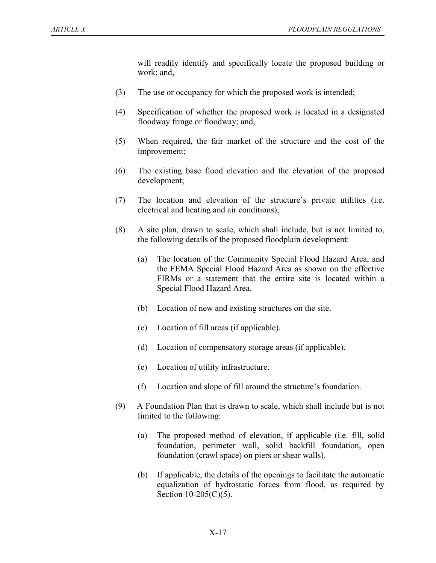will readily identify and specifically locate the proposed building or work; and,

- (3) The use or occupancy for which the proposed work is intended;
- (4) Specification of whether the proposed work is located in a designated floodway fringe or floodway; and,
- (5) When required, the fair market of the structure and the cost of the improvement;
- (6) The existing base flood elevation and the elevation of the proposed development;
- (7) The location and elevation of the structure's private utilities (i.e. electrical and heating and air conditions);
- (8) A site plan, drawn to scale, which shall include, but is not limited to, the following details of the proposed floodplain development:
	- (a) The location of the Community Special Flood Hazard Area, and the FEMA Special Flood Hazard Area as shown on the effective FIRMs or a statement that the entire site is located within a Special Flood Hazard Area.
	- (b) Location of new and existing structures on the site.
	- (c) Location of fill areas (if applicable).
	- (d) Location of compensatory storage areas (if applicable).
	- (e) Location of utility infrastructure.
	- (f) Location and slope of fill around the structure's foundation.
- (9) A Foundation Plan that is drawn to scale, which shall include but is not limited to the following:
	- (a) The proposed method of elevation, if applicable (i.e. fill, solid foundation, perimeter wall, solid backfill foundation, open foundation (crawl space) on piers or shear walls).
	- (b) If applicable, the details of the openings to facilitate the automatic equalization of hydrostatic forces from flood, as required by Section 10-205(C)(5).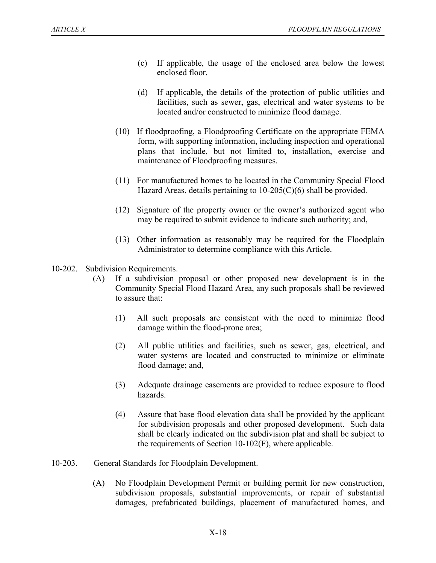- (c) If applicable, the usage of the enclosed area below the lowest enclosed floor.
- (d) If applicable, the details of the protection of public utilities and facilities, such as sewer, gas, electrical and water systems to be located and/or constructed to minimize flood damage.
- (10) If floodproofing, a Floodproofing Certificate on the appropriate FEMA form, with supporting information, including inspection and operational plans that include, but not limited to, installation, exercise and maintenance of Floodproofing measures.
- (11) For manufactured homes to be located in the Community Special Flood Hazard Areas, details pertaining to  $10\n-205(C)(6)$  shall be provided.
- (12) Signature of the property owner or the owner's authorized agent who may be required to submit evidence to indicate such authority; and,
- (13) Other information as reasonably may be required for the Floodplain Administrator to determine compliance with this Article.
- 10-202. Subdivision Requirements.
	- (A) If a subdivision proposal or other proposed new development is in the Community Special Flood Hazard Area, any such proposals shall be reviewed to assure that:
		- (1) All such proposals are consistent with the need to minimize flood damage within the flood-prone area;
		- (2) All public utilities and facilities, such as sewer, gas, electrical, and water systems are located and constructed to minimize or eliminate flood damage; and,
		- (3) Adequate drainage easements are provided to reduce exposure to flood hazards.
		- (4) Assure that base flood elevation data shall be provided by the applicant for subdivision proposals and other proposed development. Such data shall be clearly indicated on the subdivision plat and shall be subject to the requirements of Section 10-102(F), where applicable.
- 10-203. General Standards for Floodplain Development.
	- (A) No Floodplain Development Permit or building permit for new construction, subdivision proposals, substantial improvements, or repair of substantial damages, prefabricated buildings, placement of manufactured homes, and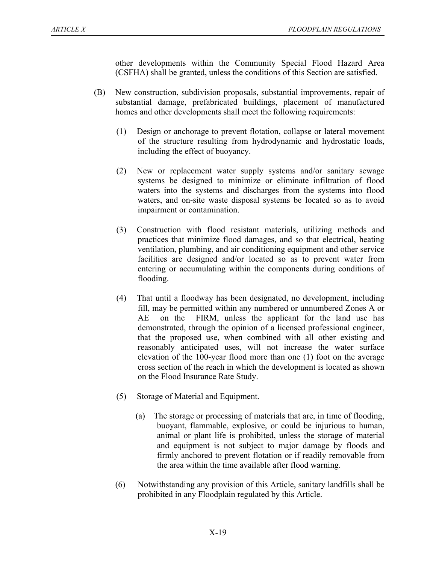other developments within the Community Special Flood Hazard Area (CSFHA) shall be granted, unless the conditions of this Section are satisfied.

- (B) New construction, subdivision proposals, substantial improvements, repair of substantial damage, prefabricated buildings, placement of manufactured homes and other developments shall meet the following requirements:
	- (1) Design or anchorage to prevent flotation, collapse or lateral movement of the structure resulting from hydrodynamic and hydrostatic loads, including the effect of buoyancy.
	- (2) New or replacement water supply systems and/or sanitary sewage systems be designed to minimize or eliminate infiltration of flood waters into the systems and discharges from the systems into flood waters, and on-site waste disposal systems be located so as to avoid impairment or contamination.
	- (3) Construction with flood resistant materials, utilizing methods and practices that minimize flood damages, and so that electrical, heating ventilation, plumbing, and air conditioning equipment and other service facilities are designed and/or located so as to prevent water from entering or accumulating within the components during conditions of flooding.
	- (4) That until a floodway has been designated, no development, including fill, may be permitted within any numbered or unnumbered Zones A or AE on the FIRM, unless the applicant for the land use has demonstrated, through the opinion of a licensed professional engineer, that the proposed use, when combined with all other existing and reasonably anticipated uses, will not increase the water surface elevation of the 100-year flood more than one (1) foot on the average cross section of the reach in which the development is located as shown on the Flood Insurance Rate Study.
	- (5) Storage of Material and Equipment.
		- (a) The storage or processing of materials that are, in time of flooding, buoyant, flammable, explosive, or could be injurious to human, animal or plant life is prohibited, unless the storage of material and equipment is not subject to major damage by floods and firmly anchored to prevent flotation or if readily removable from the area within the time available after flood warning.
	- (6) Notwithstanding any provision of this Article, sanitary landfills shall be prohibited in any Floodplain regulated by this Article.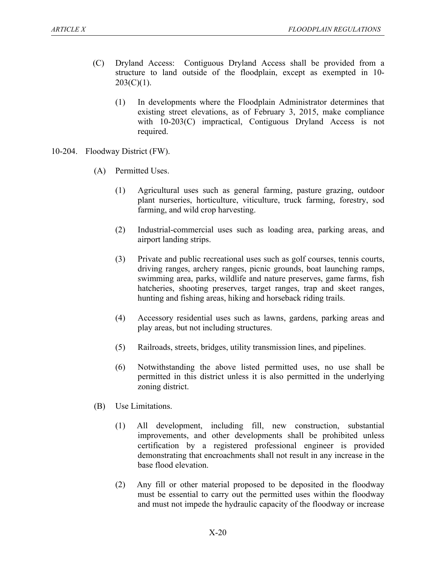- (C) Dryland Access: Contiguous Dryland Access shall be provided from a structure to land outside of the floodplain, except as exempted in 10-  $203(C)(1)$ .
	- (1) In developments where the Floodplain Administrator determines that existing street elevations, as of February 3, 2015, make compliance with 10-203(C) impractical, Contiguous Dryland Access is not required.
- 10-204. Floodway District (FW).
	- (A) Permitted Uses.
		- (1) Agricultural uses such as general farming, pasture grazing, outdoor plant nurseries, horticulture, viticulture, truck farming, forestry, sod farming, and wild crop harvesting.
		- (2) Industrial-commercial uses such as loading area, parking areas, and airport landing strips.
		- (3) Private and public recreational uses such as golf courses, tennis courts, driving ranges, archery ranges, picnic grounds, boat launching ramps, swimming area, parks, wildlife and nature preserves, game farms, fish hatcheries, shooting preserves, target ranges, trap and skeet ranges, hunting and fishing areas, hiking and horseback riding trails.
		- (4) Accessory residential uses such as lawns, gardens, parking areas and play areas, but not including structures.
		- (5) Railroads, streets, bridges, utility transmission lines, and pipelines.
		- (6) Notwithstanding the above listed permitted uses, no use shall be permitted in this district unless it is also permitted in the underlying zoning district.
	- (B) Use Limitations.
		- (1) All development, including fill, new construction, substantial improvements, and other developments shall be prohibited unless certification by a registered professional engineer is provided demonstrating that encroachments shall not result in any increase in the base flood elevation.
		- (2) Any fill or other material proposed to be deposited in the floodway must be essential to carry out the permitted uses within the floodway and must not impede the hydraulic capacity of the floodway or increase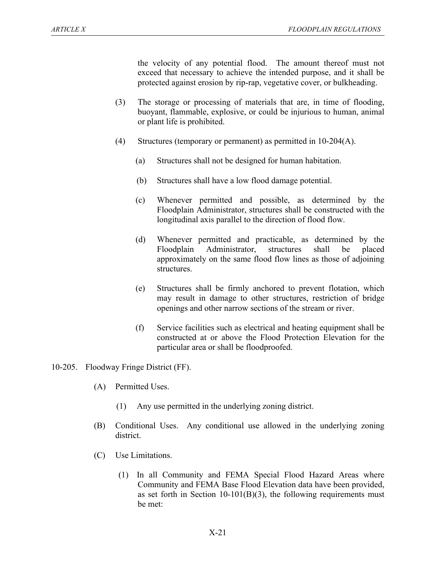the velocity of any potential flood. The amount thereof must not exceed that necessary to achieve the intended purpose, and it shall be protected against erosion by rip-rap, vegetative cover, or bulkheading.

- (3) The storage or processing of materials that are, in time of flooding, buoyant, flammable, explosive, or could be injurious to human, animal or plant life is prohibited.
- (4) Structures (temporary or permanent) as permitted in 10-204(A).
	- (a) Structures shall not be designed for human habitation.
	- (b) Structures shall have a low flood damage potential.
	- (c) Whenever permitted and possible, as determined by the Floodplain Administrator, structures shall be constructed with the longitudinal axis parallel to the direction of flood flow.
	- (d) Whenever permitted and practicable, as determined by the Floodplain Administrator, structures shall be placed approximately on the same flood flow lines as those of adjoining structures.
	- (e) Structures shall be firmly anchored to prevent flotation, which may result in damage to other structures, restriction of bridge openings and other narrow sections of the stream or river.
	- (f) Service facilities such as electrical and heating equipment shall be constructed at or above the Flood Protection Elevation for the particular area or shall be floodproofed.
- 10-205. Floodway Fringe District (FF).
	- (A) Permitted Uses.
		- (1) Any use permitted in the underlying zoning district.
	- (B) Conditional Uses. Any conditional use allowed in the underlying zoning district.
	- (C) Use Limitations.
		- (1) In all Community and FEMA Special Flood Hazard Areas where Community and FEMA Base Flood Elevation data have been provided, as set forth in Section  $10-101(B)(3)$ , the following requirements must be met: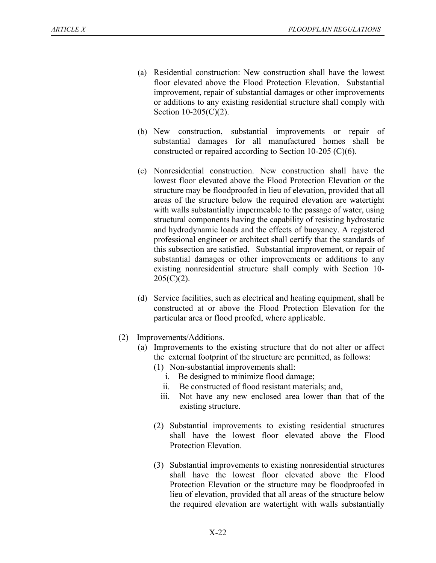- (a) Residential construction: New construction shall have the lowest floor elevated above the Flood Protection Elevation. Substantial improvement, repair of substantial damages or other improvements or additions to any existing residential structure shall comply with Section 10-205(C)(2).
- (b) New construction, substantial improvements or repair of substantial damages for all manufactured homes shall be constructed or repaired according to Section 10-205 (C)(6).
- (c) Nonresidential construction. New construction shall have the lowest floor elevated above the Flood Protection Elevation or the structure may be floodproofed in lieu of elevation, provided that all areas of the structure below the required elevation are watertight with walls substantially impermeable to the passage of water, using structural components having the capability of resisting hydrostatic and hydrodynamic loads and the effects of buoyancy. A registered professional engineer or architect shall certify that the standards of this subsection are satisfied. Substantial improvement, or repair of substantial damages or other improvements or additions to any existing nonresidential structure shall comply with Section 10-  $205(C)(2)$ .
- (d) Service facilities, such as electrical and heating equipment, shall be constructed at or above the Flood Protection Elevation for the particular area or flood proofed, where applicable.
- (2) Improvements/Additions.
	- (a) Improvements to the existing structure that do not alter or affect the external footprint of the structure are permitted, as follows:
		- (1) Non-substantial improvements shall:
			- i. Be designed to minimize flood damage;
			- ii. Be constructed of flood resistant materials; and,
			- iii. Not have any new enclosed area lower than that of the existing structure.
		- (2) Substantial improvements to existing residential structures shall have the lowest floor elevated above the Flood Protection Elevation.
		- (3) Substantial improvements to existing nonresidential structures shall have the lowest floor elevated above the Flood Protection Elevation or the structure may be floodproofed in lieu of elevation, provided that all areas of the structure below the required elevation are watertight with walls substantially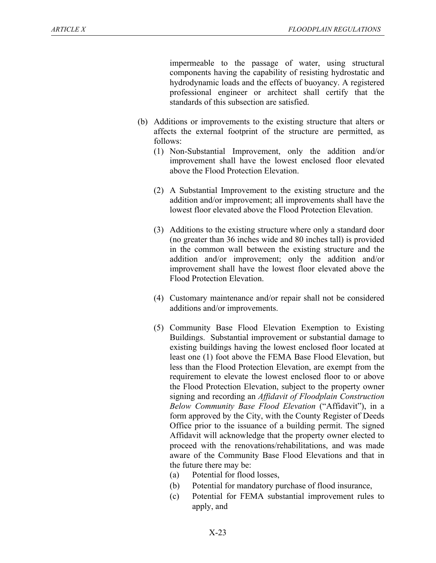impermeable to the passage of water, using structural components having the capability of resisting hydrostatic and hydrodynamic loads and the effects of buoyancy. A registered professional engineer or architect shall certify that the standards of this subsection are satisfied.

- (b) Additions or improvements to the existing structure that alters or affects the external footprint of the structure are permitted, as follows:
	- (1) Non-Substantial Improvement, only the addition and/or improvement shall have the lowest enclosed floor elevated above the Flood Protection Elevation.
	- (2) A Substantial Improvement to the existing structure and the addition and/or improvement; all improvements shall have the lowest floor elevated above the Flood Protection Elevation.
	- (3) Additions to the existing structure where only a standard door (no greater than 36 inches wide and 80 inches tall) is provided in the common wall between the existing structure and the addition and/or improvement; only the addition and/or improvement shall have the lowest floor elevated above the Flood Protection Elevation.
	- (4) Customary maintenance and/or repair shall not be considered additions and/or improvements.
	- (5) Community Base Flood Elevation Exemption to Existing Buildings. Substantial improvement or substantial damage to existing buildings having the lowest enclosed floor located at least one (1) foot above the FEMA Base Flood Elevation, but less than the Flood Protection Elevation, are exempt from the requirement to elevate the lowest enclosed floor to or above the Flood Protection Elevation, subject to the property owner signing and recording an *Affidavit of Floodplain Construction Below Community Base Flood Elevation* ("Affidavit"), in a form approved by the City, with the County Register of Deeds Office prior to the issuance of a building permit. The signed Affidavit will acknowledge that the property owner elected to proceed with the renovations/rehabilitations, and was made aware of the Community Base Flood Elevations and that in the future there may be:
		- (a) Potential for flood losses,
		- (b) Potential for mandatory purchase of flood insurance,
		- (c) Potential for FEMA substantial improvement rules to apply, and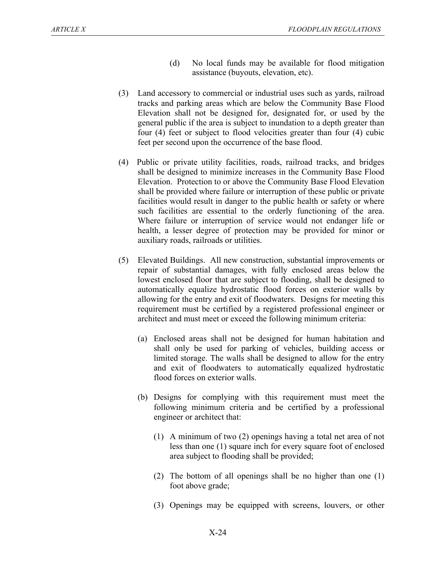- (d) No local funds may be available for flood mitigation assistance (buyouts, elevation, etc).
- (3) Land accessory to commercial or industrial uses such as yards, railroad tracks and parking areas which are below the Community Base Flood Elevation shall not be designed for, designated for, or used by the general public if the area is subject to inundation to a depth greater than four (4) feet or subject to flood velocities greater than four (4) cubic feet per second upon the occurrence of the base flood.
- (4) Public or private utility facilities, roads, railroad tracks, and bridges shall be designed to minimize increases in the Community Base Flood Elevation. Protection to or above the Community Base Flood Elevation shall be provided where failure or interruption of these public or private facilities would result in danger to the public health or safety or where such facilities are essential to the orderly functioning of the area. Where failure or interruption of service would not endanger life or health, a lesser degree of protection may be provided for minor or auxiliary roads, railroads or utilities.
- (5) Elevated Buildings. All new construction, substantial improvements or repair of substantial damages, with fully enclosed areas below the lowest enclosed floor that are subject to flooding, shall be designed to automatically equalize hydrostatic flood forces on exterior walls by allowing for the entry and exit of floodwaters. Designs for meeting this requirement must be certified by a registered professional engineer or architect and must meet or exceed the following minimum criteria:
	- (a) Enclosed areas shall not be designed for human habitation and shall only be used for parking of vehicles, building access or limited storage. The walls shall be designed to allow for the entry and exit of floodwaters to automatically equalized hydrostatic flood forces on exterior walls.
	- (b) Designs for complying with this requirement must meet the following minimum criteria and be certified by a professional engineer or architect that:
		- (1) A minimum of two (2) openings having a total net area of not less than one (1) square inch for every square foot of enclosed area subject to flooding shall be provided;
		- (2) The bottom of all openings shall be no higher than one (1) foot above grade;
		- (3) Openings may be equipped with screens, louvers, or other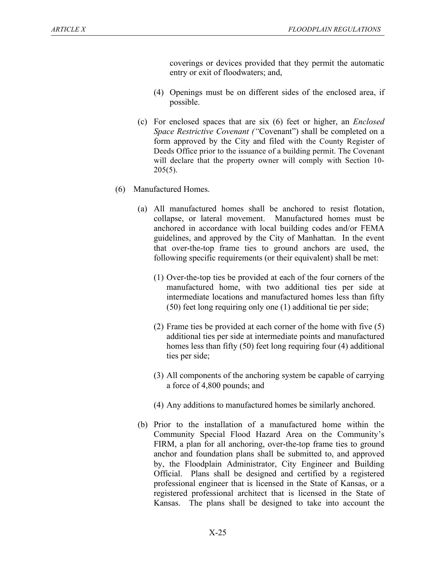coverings or devices provided that they permit the automatic entry or exit of floodwaters; and,

- (4) Openings must be on different sides of the enclosed area, if possible.
- (c) For enclosed spaces that are six (6) feet or higher, an *Enclosed Space Restrictive Covenant ("*Covenant") shall be completed on a form approved by the City and filed with the County Register of Deeds Office prior to the issuance of a building permit. The Covenant will declare that the property owner will comply with Section 10-  $205(5)$ .
- (6) Manufactured Homes.
	- (a) All manufactured homes shall be anchored to resist flotation, collapse, or lateral movement. Manufactured homes must be anchored in accordance with local building codes and/or FEMA guidelines, and approved by the City of Manhattan. In the event that over-the-top frame ties to ground anchors are used, the following specific requirements (or their equivalent) shall be met:
		- (1) Over-the-top ties be provided at each of the four corners of the manufactured home, with two additional ties per side at intermediate locations and manufactured homes less than fifty (50) feet long requiring only one (1) additional tie per side;
		- (2) Frame ties be provided at each corner of the home with five (5) additional ties per side at intermediate points and manufactured homes less than fifty (50) feet long requiring four (4) additional ties per side;
		- (3) All components of the anchoring system be capable of carrying a force of 4,800 pounds; and
		- (4) Any additions to manufactured homes be similarly anchored.
	- (b) Prior to the installation of a manufactured home within the Community Special Flood Hazard Area on the Community's FIRM, a plan for all anchoring, over-the-top frame ties to ground anchor and foundation plans shall be submitted to, and approved by, the Floodplain Administrator, City Engineer and Building Official. Plans shall be designed and certified by a registered professional engineer that is licensed in the State of Kansas, or a registered professional architect that is licensed in the State of Kansas. The plans shall be designed to take into account the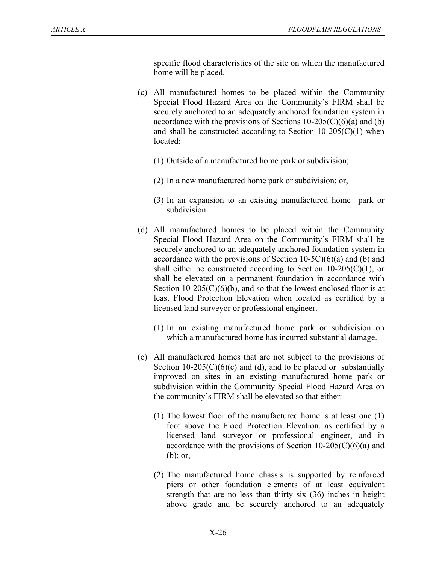specific flood characteristics of the site on which the manufactured home will be placed.

- (c) All manufactured homes to be placed within the Community Special Flood Hazard Area on the Community's FIRM shall be securely anchored to an adequately anchored foundation system in accordance with the provisions of Sections  $10-205(C)(6)(a)$  and (b) and shall be constructed according to Section  $10-205(C)(1)$  when located:
	- (1) Outside of a manufactured home park or subdivision;
	- (2) In a new manufactured home park or subdivision; or,
	- (3) In an expansion to an existing manufactured home park or subdivision.
- (d) All manufactured homes to be placed within the Community Special Flood Hazard Area on the Community's FIRM shall be securely anchored to an adequately anchored foundation system in accordance with the provisions of Section  $10-5C(6)(a)$  and (b) and shall either be constructed according to Section  $10-205(C)(1)$ , or shall be elevated on a permanent foundation in accordance with Section  $10-205(C)(6)(b)$ , and so that the lowest enclosed floor is at least Flood Protection Elevation when located as certified by a licensed land surveyor or professional engineer.
	- (1) In an existing manufactured home park or subdivision on which a manufactured home has incurred substantial damage.
- (e) All manufactured homes that are not subject to the provisions of Section 10-205( $C$ )(6)(c) and (d), and to be placed or substantially improved on sites in an existing manufactured home park or subdivision within the Community Special Flood Hazard Area on the community's FIRM shall be elevated so that either:
	- (1) The lowest floor of the manufactured home is at least one (1) foot above the Flood Protection Elevation, as certified by a licensed land surveyor or professional engineer, and in accordance with the provisions of Section  $10-205(C)(6)(a)$  and (b); or,
	- (2) The manufactured home chassis is supported by reinforced piers or other foundation elements of at least equivalent strength that are no less than thirty six (36) inches in height above grade and be securely anchored to an adequately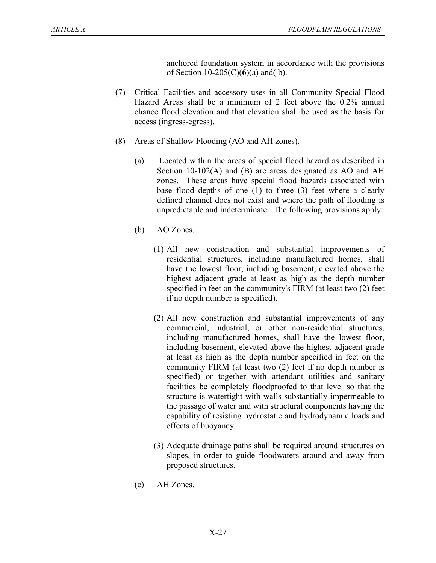anchored foundation system in accordance with the provisions of Section 10-205(C)(**6**)(a) and( b).

- (7) Critical Facilities and accessory uses in all Community Special Flood Hazard Areas shall be a minimum of 2 feet above the 0.2% annual chance flood elevation and that elevation shall be used as the basis for access (ingress-egress).
- (8) Areas of Shallow Flooding (AO and AH zones).
	- (a) Located within the areas of special flood hazard as described in Section 10-102(A) and (B) are areas designated as AO and AH zones. These areas have special flood hazards associated with base flood depths of one (1) to three (3) feet where a clearly defined channel does not exist and where the path of flooding is unpredictable and indeterminate. The following provisions apply:
	- (b) AO Zones.
		- (1) All new construction and substantial improvements of residential structures, including manufactured homes, shall have the lowest floor, including basement, elevated above the highest adjacent grade at least as high as the depth number specified in feet on the community's FIRM (at least two (2) feet if no depth number is specified).
		- (2) All new construction and substantial improvements of any commercial, industrial, or other non-residential structures, including manufactured homes, shall have the lowest floor, including basement, elevated above the highest adjacent grade at least as high as the depth number specified in feet on the community FIRM (at least two (2) feet if no depth number is specified) or together with attendant utilities and sanitary facilities be completely floodproofed to that level so that the structure is watertight with walls substantially impermeable to the passage of water and with structural components having the capability of resisting hydrostatic and hydrodynamic loads and effects of buoyancy.
		- (3) Adequate drainage paths shall be required around structures on slopes, in order to guide floodwaters around and away from proposed structures.
	- (c) AH Zones.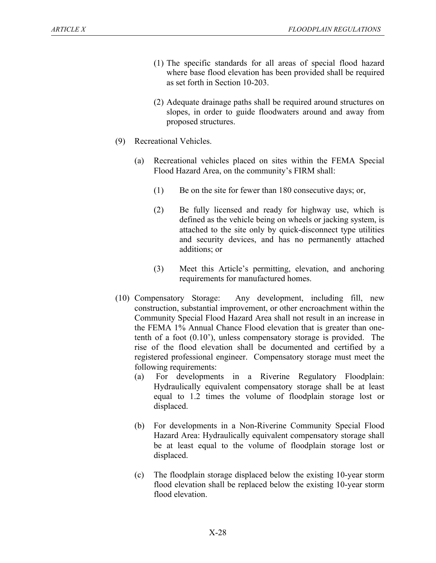- (1) The specific standards for all areas of special flood hazard where base flood elevation has been provided shall be required as set forth in Section 10-203.
- (2) Adequate drainage paths shall be required around structures on slopes, in order to guide floodwaters around and away from proposed structures.
- (9) Recreational Vehicles.
	- (a) Recreational vehicles placed on sites within the FEMA Special Flood Hazard Area, on the community's FIRM shall:
		- (1) Be on the site for fewer than 180 consecutive days; or,
		- (2) Be fully licensed and ready for highway use, which is defined as the vehicle being on wheels or jacking system, is attached to the site only by quick-disconnect type utilities and security devices, and has no permanently attached additions; or
		- (3) Meet this Article's permitting, elevation, and anchoring requirements for manufactured homes.
- (10) Compensatory Storage: Any development, including fill, new construction, substantial improvement, or other encroachment within the Community Special Flood Hazard Area shall not result in an increase in the FEMA 1% Annual Chance Flood elevation that is greater than onetenth of a foot (0.10'), unless compensatory storage is provided. The rise of the flood elevation shall be documented and certified by a registered professional engineer. Compensatory storage must meet the following requirements:
	- (a) For developments in a Riverine Regulatory Floodplain: Hydraulically equivalent compensatory storage shall be at least equal to 1.2 times the volume of floodplain storage lost or displaced.
	- (b) For developments in a Non-Riverine Community Special Flood Hazard Area: Hydraulically equivalent compensatory storage shall be at least equal to the volume of floodplain storage lost or displaced.
	- (c) The floodplain storage displaced below the existing 10-year storm flood elevation shall be replaced below the existing 10-year storm flood elevation.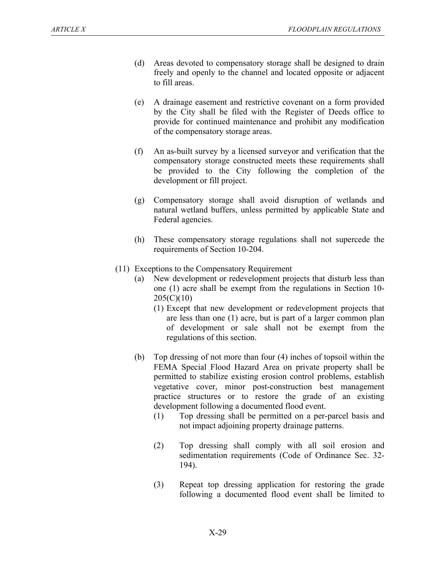- (d) Areas devoted to compensatory storage shall be designed to drain freely and openly to the channel and located opposite or adjacent to fill areas.
- (e) A drainage easement and restrictive covenant on a form provided by the City shall be filed with the Register of Deeds office to provide for continued maintenance and prohibit any modification of the compensatory storage areas.
- (f) An as-built survey by a licensed surveyor and verification that the compensatory storage constructed meets these requirements shall be provided to the City following the completion of the development or fill project.
- (g) Compensatory storage shall avoid disruption of wetlands and natural wetland buffers, unless permitted by applicable State and Federal agencies.
- (h) These compensatory storage regulations shall not supercede the requirements of Section 10-204.
- (11) Exceptions to the Compensatory Requirement
	- (a) New development or redevelopment projects that disturb less than one (1) acre shall be exempt from the regulations in Section 10- 205(C)(10)
		- (1) Except that new development or redevelopment projects that are less than one (1) acre, but is part of a larger common plan of development or sale shall not be exempt from the regulations of this section.
	- (b) Top dressing of not more than four (4) inches of topsoil within the FEMA Special Flood Hazard Area on private property shall be permitted to stabilize existing erosion control problems, establish vegetative cover, minor post-construction best management practice structures or to restore the grade of an existing development following a documented flood event.
		- (1) Top dressing shall be permitted on a per-parcel basis and not impact adjoining property drainage patterns.
		- (2) Top dressing shall comply with all soil erosion and sedimentation requirements (Code of Ordinance Sec. 32- 194).
		- (3) Repeat top dressing application for restoring the grade following a documented flood event shall be limited to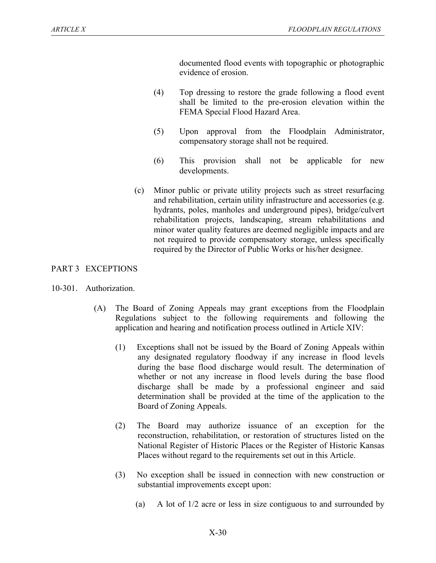documented flood events with topographic or photographic evidence of erosion.

- (4) Top dressing to restore the grade following a flood event shall be limited to the pre-erosion elevation within the FEMA Special Flood Hazard Area.
- (5) Upon approval from the Floodplain Administrator, compensatory storage shall not be required.
- (6) This provision shall not be applicable for new developments.
- (c) Minor public or private utility projects such as street resurfacing and rehabilitation, certain utility infrastructure and accessories (e.g. hydrants, poles, manholes and underground pipes), bridge/culvert rehabilitation projects, landscaping, stream rehabilitations and minor water quality features are deemed negligible impacts and are not required to provide compensatory storage, unless specifically required by the Director of Public Works or his/her designee.

## PART 3 EXCEPTIONS

- 10-301. Authorization.
	- (A) The Board of Zoning Appeals may grant exceptions from the Floodplain Regulations subject to the following requirements and following the application and hearing and notification process outlined in Article XIV:
		- (1) Exceptions shall not be issued by the Board of Zoning Appeals within any designated regulatory floodway if any increase in flood levels during the base flood discharge would result. The determination of whether or not any increase in flood levels during the base flood discharge shall be made by a professional engineer and said determination shall be provided at the time of the application to the Board of Zoning Appeals.
		- (2) The Board may authorize issuance of an exception for the reconstruction, rehabilitation, or restoration of structures listed on the National Register of Historic Places or the Register of Historic Kansas Places without regard to the requirements set out in this Article.
		- (3) No exception shall be issued in connection with new construction or substantial improvements except upon:
			- (a) A lot of 1/2 acre or less in size contiguous to and surrounded by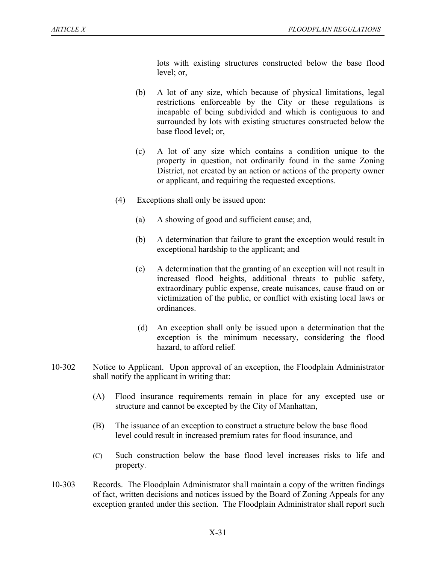lots with existing structures constructed below the base flood level; or,

- (b) A lot of any size, which because of physical limitations, legal restrictions enforceable by the City or these regulations is incapable of being subdivided and which is contiguous to and surrounded by lots with existing structures constructed below the base flood level; or,
- (c) A lot of any size which contains a condition unique to the property in question, not ordinarily found in the same Zoning District, not created by an action or actions of the property owner or applicant, and requiring the requested exceptions.
- (4) Exceptions shall only be issued upon:
	- (a) A showing of good and sufficient cause; and,
	- (b) A determination that failure to grant the exception would result in exceptional hardship to the applicant; and
	- (c) A determination that the granting of an exception will not result in increased flood heights, additional threats to public safety, extraordinary public expense, create nuisances, cause fraud on or victimization of the public, or conflict with existing local laws or ordinances.
	- (d) An exception shall only be issued upon a determination that the exception is the minimum necessary, considering the flood hazard, to afford relief.
- 10-302 Notice to Applicant. Upon approval of an exception, the Floodplain Administrator shall notify the applicant in writing that:
	- (A) Flood insurance requirements remain in place for any excepted use or structure and cannot be excepted by the City of Manhattan,
	- (B) The issuance of an exception to construct a structure below the base flood level could result in increased premium rates for flood insurance, and
	- (C) Such construction below the base flood level increases risks to life and property.
- 10-303 Records. The Floodplain Administrator shall maintain a copy of the written findings of fact, written decisions and notices issued by the Board of Zoning Appeals for any exception granted under this section. The Floodplain Administrator shall report such